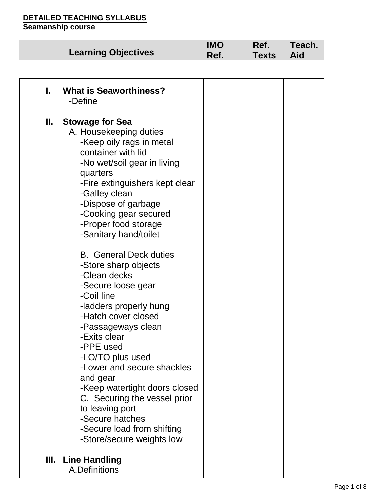|    | <b>Learning Objectives</b>                                                                                                                                                                                                                                                                                                                                                                                                                                                                                                                                                                                                                                                                                                                         | <b>IMO</b><br>Ref. | Ref.<br><b>Texts</b> | Teach.<br><b>Aid</b> |
|----|----------------------------------------------------------------------------------------------------------------------------------------------------------------------------------------------------------------------------------------------------------------------------------------------------------------------------------------------------------------------------------------------------------------------------------------------------------------------------------------------------------------------------------------------------------------------------------------------------------------------------------------------------------------------------------------------------------------------------------------------------|--------------------|----------------------|----------------------|
|    |                                                                                                                                                                                                                                                                                                                                                                                                                                                                                                                                                                                                                                                                                                                                                    |                    |                      |                      |
| L. | <b>What is Seaworthiness?</b><br>-Define                                                                                                                                                                                                                                                                                                                                                                                                                                                                                                                                                                                                                                                                                                           |                    |                      |                      |
| Ш. | <b>Stowage for Sea</b><br>A. Housekeeping duties<br>-Keep oily rags in metal<br>container with lid<br>-No wet/soil gear in living<br>quarters<br>-Fire extinguishers kept clear<br>-Galley clean<br>-Dispose of garbage<br>-Cooking gear secured<br>-Proper food storage<br>-Sanitary hand/toilet<br><b>B.</b> General Deck duties<br>-Store sharp objects<br>-Clean decks<br>-Secure loose gear<br>-Coil line<br>-ladders properly hung<br>-Hatch cover closed<br>-Passageways clean<br>-Exits clear<br>-PPE used<br>-LO/TO plus used<br>-Lower and secure shackles<br>and gear<br>-Keep watertight doors closed<br>C. Securing the vessel prior<br>to leaving port<br>-Secure hatches<br>-Secure load from shifting<br>-Store/secure weights low |                    |                      |                      |
|    | III. Line Handling<br>A.Definitions                                                                                                                                                                                                                                                                                                                                                                                                                                                                                                                                                                                                                                                                                                                |                    |                      |                      |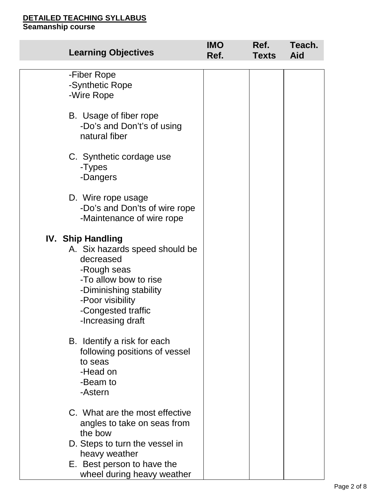| <b>Learning Objectives</b>                                                                                                                                                                               | <b>IMO</b><br>Ref. | Ref.<br><b>Texts</b> | Teach.<br><b>Aid</b> |
|----------------------------------------------------------------------------------------------------------------------------------------------------------------------------------------------------------|--------------------|----------------------|----------------------|
| -Fiber Rope<br>-Synthetic Rope<br>-Wire Rope                                                                                                                                                             |                    |                      |                      |
| B. Usage of fiber rope<br>-Do's and Don't's of using<br>natural fiber                                                                                                                                    |                    |                      |                      |
| C. Synthetic cordage use<br>-Types<br>-Dangers                                                                                                                                                           |                    |                      |                      |
| D. Wire rope usage<br>-Do's and Don'ts of wire rope<br>-Maintenance of wire rope                                                                                                                         |                    |                      |                      |
| <b>IV. Ship Handling</b><br>A. Six hazards speed should be<br>decreased<br>-Rough seas<br>-To allow bow to rise<br>-Diminishing stability<br>-Poor visibility<br>-Congested traffic<br>-Increasing draft |                    |                      |                      |
| B. Identify a risk for each<br>following positions of vessel<br>to seas<br>-Head on<br>-Beam to<br>-Astern                                                                                               |                    |                      |                      |
| C. What are the most effective<br>angles to take on seas from<br>the bow                                                                                                                                 |                    |                      |                      |
| D. Steps to turn the vessel in<br>heavy weather                                                                                                                                                          |                    |                      |                      |
| E. Best person to have the<br>wheel during heavy weather                                                                                                                                                 |                    |                      |                      |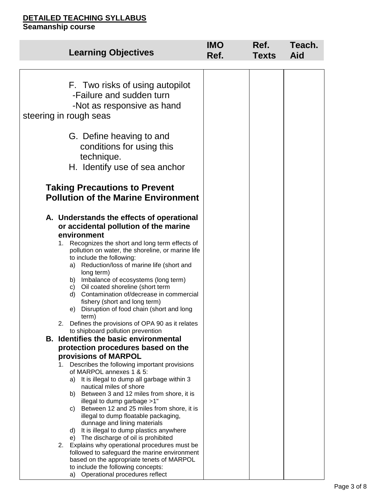|          | <b>Learning Objectives</b>                                                                                                                                                                                                                                                                                                                                                                                                                                                                                                                                                                                                                                                                                      | <b>IMO</b><br>Ref. | Ref.<br><b>Texts</b> | Teach.<br>Aid |
|----------|-----------------------------------------------------------------------------------------------------------------------------------------------------------------------------------------------------------------------------------------------------------------------------------------------------------------------------------------------------------------------------------------------------------------------------------------------------------------------------------------------------------------------------------------------------------------------------------------------------------------------------------------------------------------------------------------------------------------|--------------------|----------------------|---------------|
|          |                                                                                                                                                                                                                                                                                                                                                                                                                                                                                                                                                                                                                                                                                                                 |                    |                      |               |
|          | F. Two risks of using autopilot<br>-Failure and sudden turn<br>-Not as responsive as hand<br>steering in rough seas                                                                                                                                                                                                                                                                                                                                                                                                                                                                                                                                                                                             |                    |                      |               |
|          | G. Define heaving to and<br>conditions for using this<br>technique.<br>H. Identify use of sea anchor                                                                                                                                                                                                                                                                                                                                                                                                                                                                                                                                                                                                            |                    |                      |               |
|          | <b>Taking Precautions to Prevent</b><br><b>Pollution of the Marine Environment</b>                                                                                                                                                                                                                                                                                                                                                                                                                                                                                                                                                                                                                              |                    |                      |               |
| 1.<br>2. | A. Understands the effects of operational<br>or accidental pollution of the marine<br>environment<br>Recognizes the short and long term effects of<br>pollution on water, the shoreline, or marine life<br>to include the following:<br>Reduction/loss of marine life (short and<br>a)<br>long term)<br>b) Imbalance of ecosystems (long term)<br>c) Oil coated shoreline (short term<br>d) Contamination of/decrease in commercial<br>fishery (short and long term)<br>Disruption of food chain (short and long<br>e)<br>term)<br>Defines the provisions of OPA 90 as it relates<br>to shipboard pollution prevention                                                                                          |                    |                      |               |
|          | <b>B.</b> Identifies the basic environmental                                                                                                                                                                                                                                                                                                                                                                                                                                                                                                                                                                                                                                                                    |                    |                      |               |
|          | protection procedures based on the                                                                                                                                                                                                                                                                                                                                                                                                                                                                                                                                                                                                                                                                              |                    |                      |               |
| 1.<br>2. | provisions of MARPOL<br>Describes the following important provisions<br>of MARPOL annexes 1 & 5:<br>It is illegal to dump all garbage within 3<br>a)<br>nautical miles of shore<br>Between 3 and 12 miles from shore, it is<br>b)<br>illegal to dump garbage >1"<br>Between 12 and 25 miles from shore, it is<br>C)<br>illegal to dump floatable packaging,<br>dunnage and lining materials<br>It is illegal to dump plastics anywhere<br>d)<br>The discharge of oil is prohibited<br>e)<br>Explains why operational procedures must be<br>followed to safeguard the marine environment<br>based on the appropriate tenets of MARPOL<br>to include the following concepts:<br>a) Operational procedures reflect |                    |                      |               |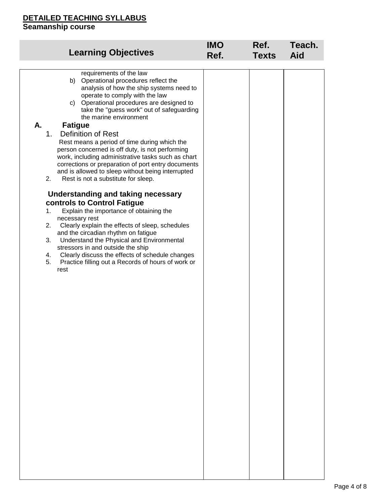| <b>Learning Objectives</b>                                                                                                                                                                                                                                                                                                                                                                                                                                                                                                                                                                                                                                                                                                                                                                                                                                                                                                                                                                                                                                                                                     | <b>IMO</b> | Ref.         | Teach. |
|----------------------------------------------------------------------------------------------------------------------------------------------------------------------------------------------------------------------------------------------------------------------------------------------------------------------------------------------------------------------------------------------------------------------------------------------------------------------------------------------------------------------------------------------------------------------------------------------------------------------------------------------------------------------------------------------------------------------------------------------------------------------------------------------------------------------------------------------------------------------------------------------------------------------------------------------------------------------------------------------------------------------------------------------------------------------------------------------------------------|------------|--------------|--------|
|                                                                                                                                                                                                                                                                                                                                                                                                                                                                                                                                                                                                                                                                                                                                                                                                                                                                                                                                                                                                                                                                                                                | Ref.       | <b>Texts</b> | Aid    |
| requirements of the law<br>Operational procedures reflect the<br>b)<br>analysis of how the ship systems need to<br>operate to comply with the law<br>c) Operational procedures are designed to<br>take the "guess work" out of safeguarding<br>the marine environment<br>А.<br><b>Fatigue</b><br><b>Definition of Rest</b><br>1.<br>Rest means a period of time during which the<br>person concerned is off duty, is not performing<br>work, including administrative tasks such as chart<br>corrections or preparation of port entry documents<br>and is allowed to sleep without being interrupted<br>2.<br>Rest is not a substitute for sleep.<br>Understanding and taking necessary<br>controls to Control Fatigue<br>Explain the importance of obtaining the<br>1.<br>necessary rest<br>Clearly explain the effects of sleep, schedules<br>2.<br>and the circadian rhythm on fatigue<br>Understand the Physical and Environmental<br>3.<br>stressors in and outside the ship<br>Clearly discuss the effects of schedule changes<br>4.<br>5.<br>Practice filling out a Records of hours of work or<br>rest |            |              |        |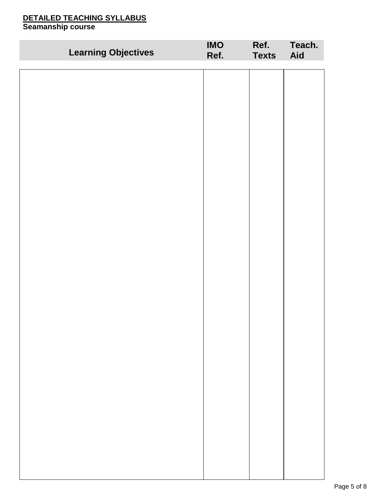| <b>Learning Objectives</b> | <b>IMO</b><br>Ref. | Ref.<br><b>Texts</b> | Teach.<br>Aid |
|----------------------------|--------------------|----------------------|---------------|
|                            |                    |                      |               |
|                            |                    |                      |               |
|                            |                    |                      |               |
|                            |                    |                      |               |
|                            |                    |                      |               |
|                            |                    |                      |               |
|                            |                    |                      |               |
|                            |                    |                      |               |
|                            |                    |                      |               |
|                            |                    |                      |               |
|                            |                    |                      |               |
|                            |                    |                      |               |
|                            |                    |                      |               |
|                            |                    |                      |               |
|                            |                    |                      |               |
|                            |                    |                      |               |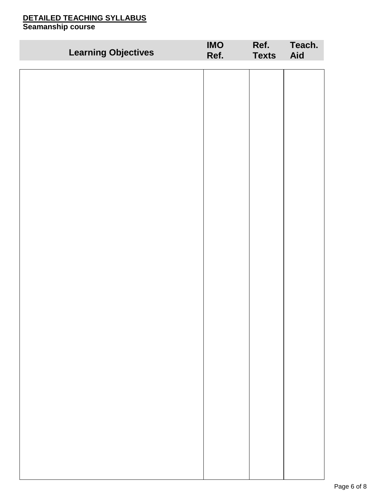| <b>Learning Objectives</b> | <b>IMO</b><br>Ref. | Ref.<br><b>Texts</b> | Teach.<br>Aid |
|----------------------------|--------------------|----------------------|---------------|
|                            |                    |                      |               |
|                            |                    |                      |               |
|                            |                    |                      |               |
|                            |                    |                      |               |
|                            |                    |                      |               |
|                            |                    |                      |               |
|                            |                    |                      |               |
|                            |                    |                      |               |
|                            |                    |                      |               |
|                            |                    |                      |               |
|                            |                    |                      |               |
|                            |                    |                      |               |
|                            |                    |                      |               |
|                            |                    |                      |               |
|                            |                    |                      |               |
|                            |                    |                      |               |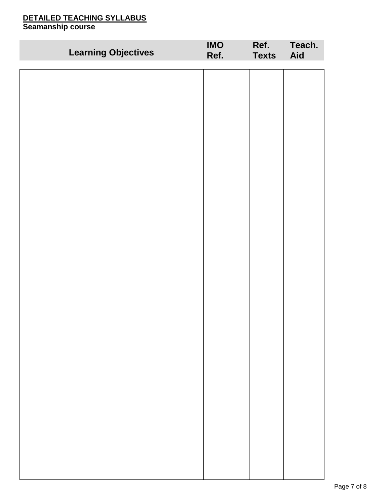| <b>Learning Objectives</b> | <b>IMO</b><br>Ref. | Ref.<br><b>Texts</b> | Teach.<br>Aid |
|----------------------------|--------------------|----------------------|---------------|
|                            |                    |                      |               |
|                            |                    |                      |               |
|                            |                    |                      |               |
|                            |                    |                      |               |
|                            |                    |                      |               |
|                            |                    |                      |               |
|                            |                    |                      |               |
|                            |                    |                      |               |
|                            |                    |                      |               |
|                            |                    |                      |               |
|                            |                    |                      |               |
|                            |                    |                      |               |
|                            |                    |                      |               |
|                            |                    |                      |               |
|                            |                    |                      |               |
|                            |                    |                      |               |